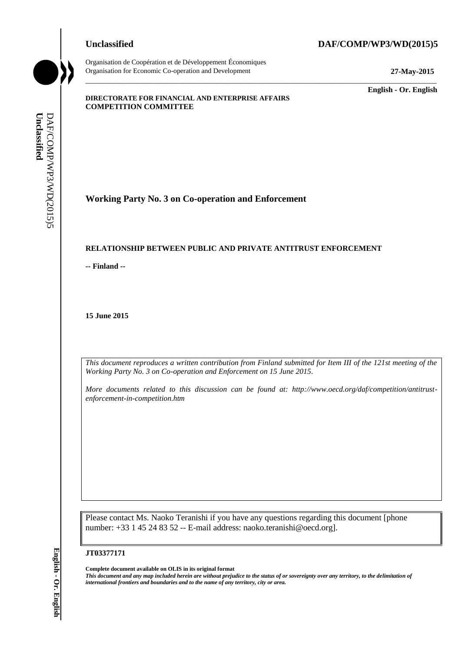Organisation de Coopération et de Développement Économiques

#### **Unclassified DAF/COMP/WP3/WD(2015)5**

Organisation for Economic Co-operation and Development **27-May-2015**

\_\_\_\_\_\_\_\_\_\_\_\_\_ **English - Or. English**

#### **DIRECTORATE FOR FINANCIAL AND ENTERPRISE AFFAIRS COMPETITION COMMITTEE**

**Working Party No. 3 on Co-operation and Enforcement**

#### **RELATIONSHIP BETWEEN PUBLIC AND PRIVATE ANTITRUST ENFORCEMENT**

**-- Finland --**

**15 June 2015**

*This document reproduces a written contribution from Finland submitted for Item III of the 121st meeting of the Working Party No. 3 on Co-operation and Enforcement on 15 June 2015.* 

\_\_\_\_\_\_\_\_\_\_\_\_\_\_\_\_\_\_\_\_\_\_\_\_\_\_\_\_\_\_\_\_\_\_\_\_\_\_\_\_\_\_\_\_\_\_\_\_\_\_\_\_\_\_\_\_\_\_\_\_\_\_\_\_\_\_\_\_\_\_\_\_\_\_\_\_\_\_\_\_\_\_\_\_\_\_\_\_\_\_\_

*More documents related to this discussion can be found at: http://www.oecd.org/daf/competition/antitrustenforcement-in-competition.htm*

Please contact Ms. Naoko Teranishi if you have any questions regarding this document [phone number: +33 1 45 24 83 52 -- E-mail address: naoko.teranishi@oecd.org].

#### **JT03377171**

**Complete document available on OLIS in its original format** *This document and any map included herein are without prejudice to the status of or sovereignty over any territory, to the delimitation of international frontiers and boundaries and to the name of any territory, city or area.* **Unclassified** DAF/COMP/WP3/WD(2015)5 **English - Or. English**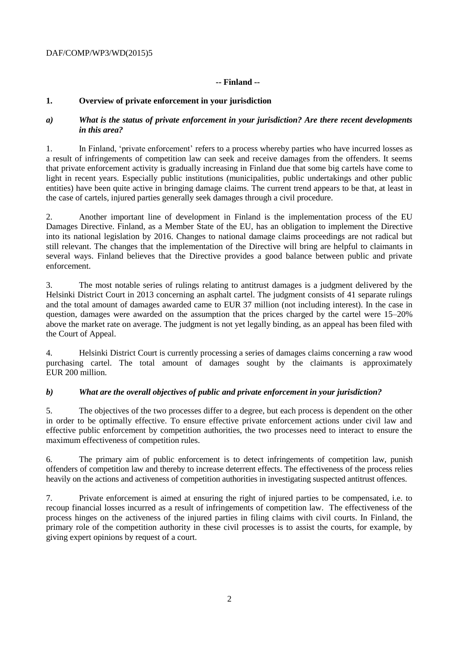# DAF/COMP/WP3/WD(2015)5

# **-- Finland --**

# **1. Overview of private enforcement in your jurisdiction**

## *a) What is the status of private enforcement in your jurisdiction? Are there recent developments in this area?*

1. In Finland, 'private enforcement' refers to a process whereby parties who have incurred losses as a result of infringements of competition law can seek and receive damages from the offenders. It seems that private enforcement activity is gradually increasing in Finland due that some big cartels have come to light in recent years. Especially public institutions (municipalities, public undertakings and other public entities) have been quite active in bringing damage claims. The current trend appears to be that, at least in the case of cartels, injured parties generally seek damages through a civil procedure.

2. Another important line of development in Finland is the implementation process of the EU Damages Directive. Finland, as a Member State of the EU, has an obligation to implement the Directive into its national legislation by 2016. Changes to national damage claims proceedings are not radical but still relevant. The changes that the implementation of the Directive will bring are helpful to claimants in several ways. Finland believes that the Directive provides a good balance between public and private enforcement.

3. The most notable series of rulings relating to antitrust damages is a judgment delivered by the Helsinki District Court in 2013 concerning an asphalt cartel. The judgment consists of 41 separate rulings and the total amount of damages awarded came to EUR 37 million (not including interest). In the case in question, damages were awarded on the assumption that the prices charged by the cartel were 15–20% above the market rate on average. The judgment is not yet legally binding, as an appeal has been filed with the Court of Appeal.

4. Helsinki District Court is currently processing a series of damages claims concerning a raw wood purchasing cartel. The total amount of damages sought by the claimants is approximately EUR 200 million.

# *b) What are the overall objectives of public and private enforcement in your jurisdiction?*

5. The objectives of the two processes differ to a degree, but each process is dependent on the other in order to be optimally effective. To ensure effective private enforcement actions under civil law and effective public enforcement by competition authorities, the two processes need to interact to ensure the maximum effectiveness of competition rules.

6. The primary aim of public enforcement is to detect infringements of competition law, punish offenders of competition law and thereby to increase deterrent effects. The effectiveness of the process relies heavily on the actions and activeness of competition authorities in investigating suspected antitrust offences.

7. Private enforcement is aimed at ensuring the right of injured parties to be compensated, i.e. to recoup financial losses incurred as a result of infringements of competition law. The effectiveness of the process hinges on the activeness of the injured parties in filing claims with civil courts. In Finland, the primary role of the competition authority in these civil processes is to assist the courts, for example, by giving expert opinions by request of a court.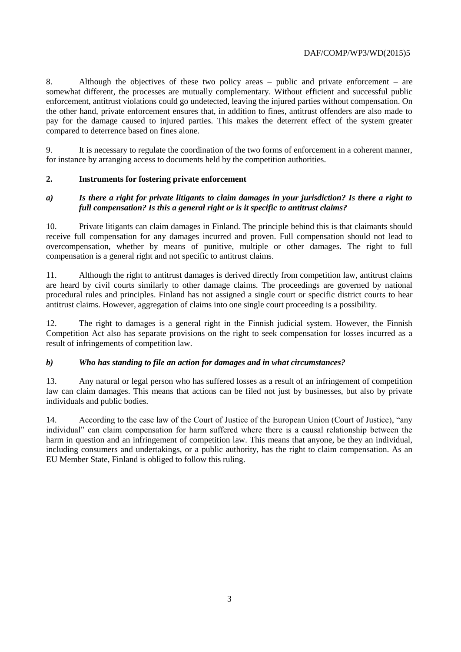8. Although the objectives of these two policy areas – public and private enforcement – are somewhat different, the processes are mutually complementary. Without efficient and successful public enforcement, antitrust violations could go undetected, leaving the injured parties without compensation. On the other hand, private enforcement ensures that, in addition to fines, antitrust offenders are also made to pay for the damage caused to injured parties. This makes the deterrent effect of the system greater compared to deterrence based on fines alone.

9. It is necessary to regulate the coordination of the two forms of enforcement in a coherent manner, for instance by arranging access to documents held by the competition authorities.

# **2. Instruments for fostering private enforcement**

## *a) Is there a right for private litigants to claim damages in your jurisdiction? Is there a right to full compensation? Is this a general right or is it specific to antitrust claims?*

10. Private litigants can claim damages in Finland. The principle behind this is that claimants should receive full compensation for any damages incurred and proven. Full compensation should not lead to overcompensation, whether by means of punitive, multiple or other damages. The right to full compensation is a general right and not specific to antitrust claims.

11. Although the right to antitrust damages is derived directly from competition law, antitrust claims are heard by civil courts similarly to other damage claims. The proceedings are governed by national procedural rules and principles. Finland has not assigned a single court or specific district courts to hear antitrust claims. However, aggregation of claims into one single court proceeding is a possibility.

12. The right to damages is a general right in the Finnish judicial system. However, the Finnish Competition Act also has separate provisions on the right to seek compensation for losses incurred as a result of infringements of competition law.

#### *b) Who has standing to file an action for damages and in what circumstances?*

13. Any natural or legal person who has suffered losses as a result of an infringement of competition law can claim damages. This means that actions can be filed not just by businesses, but also by private individuals and public bodies.

14. According to the case law of the Court of Justice of the European Union (Court of Justice), "any individual" can claim compensation for harm suffered where there is a causal relationship between the harm in question and an infringement of competition law. This means that anyone, be they an individual, including consumers and undertakings, or a public authority, has the right to claim compensation. As an EU Member State, Finland is obliged to follow this ruling.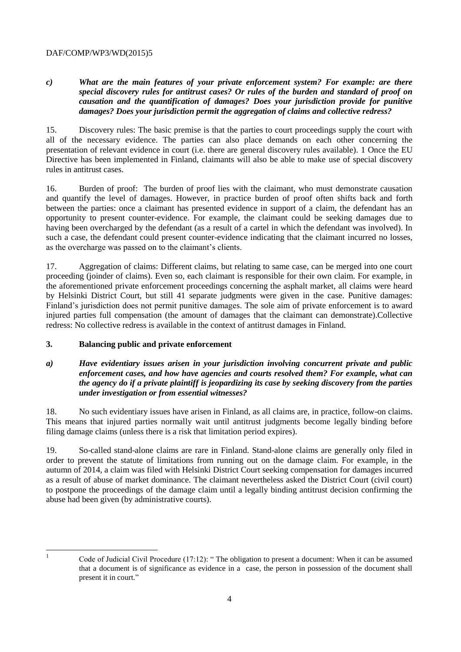## DAF/COMP/WP3/WD(2015)5

# *c) What are the main features of your private enforcement system? For example: are there special discovery rules for antitrust cases? Or rules of the burden and standard of proof on causation and the quantification of damages? Does your jurisdiction provide for punitive damages? Does your jurisdiction permit the aggregation of claims and collective redress?*

15. Discovery rules: The basic premise is that the parties to court proceedings supply the court with all of the necessary evidence. The parties can also place demands on each other concerning the presentation of relevant evidence in court (i.e. there are general discovery rules available). 1 Once the EU Directive has been implemented in Finland, claimants will also be able to make use of special discovery rules in antitrust cases.

16. Burden of proof: The burden of proof lies with the claimant, who must demonstrate causation and quantify the level of damages. However, in practice burden of proof often shifts back and forth between the parties: once a claimant has presented evidence in support of a claim, the defendant has an opportunity to present counter-evidence. For example, the claimant could be seeking damages due to having been overcharged by the defendant (as a result of a cartel in which the defendant was involved). In such a case, the defendant could present counter-evidence indicating that the claimant incurred no losses, as the overcharge was passed on to the claimant's clients.

17. Aggregation of claims: Different claims, but relating to same case, can be merged into one court proceeding (joinder of claims). Even so, each claimant is responsible for their own claim. For example, in the aforementioned private enforcement proceedings concerning the asphalt market, all claims were heard by Helsinki District Court, but still 41 separate judgments were given in the case. Punitive damages: Finland's jurisdiction does not permit punitive damages. The sole aim of private enforcement is to award injured parties full compensation (the amount of damages that the claimant can demonstrate).Collective redress: No collective redress is available in the context of antitrust damages in Finland.

#### **3. Balancing public and private enforcement**

## *a) Have evidentiary issues arisen in your jurisdiction involving concurrent private and public enforcement cases, and how have agencies and courts resolved them? For example, what can the agency do if a private plaintiff is jeopardizing its case by seeking discovery from the parties under investigation or from essential witnesses?*

18. No such evidentiary issues have arisen in Finland, as all claims are, in practice, follow-on claims. This means that injured parties normally wait until antitrust judgments become legally binding before filing damage claims (unless there is a risk that limitation period expires).

19. So-called stand-alone claims are rare in Finland. Stand-alone claims are generally only filed in order to prevent the statute of limitations from running out on the damage claim. For example, in the autumn of 2014, a claim was filed with Helsinki District Court seeking compensation for damages incurred as a result of abuse of market dominance. The claimant nevertheless asked the District Court (civil court) to postpone the proceedings of the damage claim until a legally binding antitrust decision confirming the abuse had been given (by administrative courts).

 $\frac{1}{1}$ 

Code of Judicial Civil Procedure (17:12): " The obligation to present a document: When it can be assumed that a document is of significance as evidence in a case, the person in possession of the document shall present it in court."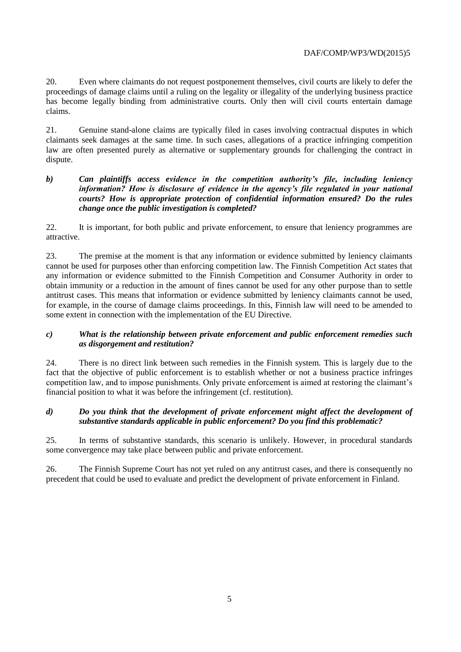20. Even where claimants do not request postponement themselves, civil courts are likely to defer the proceedings of damage claims until a ruling on the legality or illegality of the underlying business practice has become legally binding from administrative courts. Only then will civil courts entertain damage claims.

21. Genuine stand-alone claims are typically filed in cases involving contractual disputes in which claimants seek damages at the same time. In such cases, allegations of a practice infringing competition law are often presented purely as alternative or supplementary grounds for challenging the contract in dispute.

## *b) Can plaintiffs access evidence in the competition authority's file, including leniency information? How is disclosure of evidence in the agency's file regulated in your national courts? How is appropriate protection of confidential information ensured? Do the rules change once the public investigation is completed?*

22. It is important, for both public and private enforcement, to ensure that leniency programmes are attractive.

23. The premise at the moment is that any information or evidence submitted by leniency claimants cannot be used for purposes other than enforcing competition law. The Finnish Competition Act states that any information or evidence submitted to the Finnish Competition and Consumer Authority in order to obtain immunity or a reduction in the amount of fines cannot be used for any other purpose than to settle antitrust cases. This means that information or evidence submitted by leniency claimants cannot be used, for example, in the course of damage claims proceedings. In this, Finnish law will need to be amended to some extent in connection with the implementation of the EU Directive.

## *c) What is the relationship between private enforcement and public enforcement remedies such as disgorgement and restitution?*

24. There is no direct link between such remedies in the Finnish system. This is largely due to the fact that the objective of public enforcement is to establish whether or not a business practice infringes competition law, and to impose punishments. Only private enforcement is aimed at restoring the claimant's financial position to what it was before the infringement (cf. restitution).

#### *d) Do you think that the development of private enforcement might affect the development of substantive standards applicable in public enforcement? Do you find this problematic?*

25. In terms of substantive standards, this scenario is unlikely. However, in procedural standards some convergence may take place between public and private enforcement.

26. The Finnish Supreme Court has not yet ruled on any antitrust cases, and there is consequently no precedent that could be used to evaluate and predict the development of private enforcement in Finland.